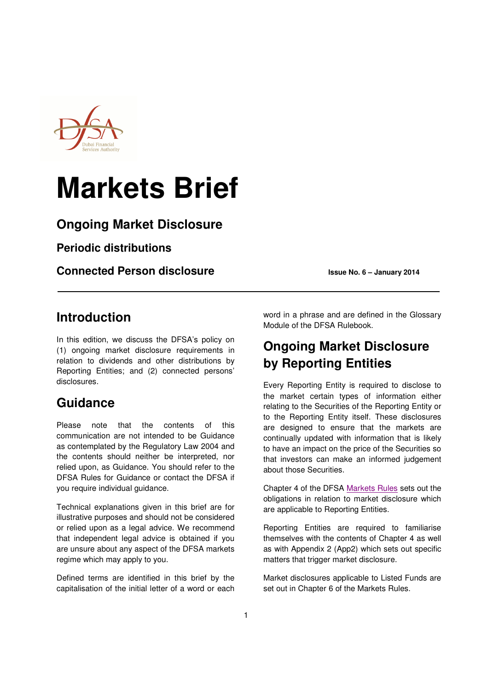

# **Markets Brief**

### **Ongoing Market Disclosure**

**Periodic distributions** 

**Connected Person disclosure ISSUE 2014 ISSUE No. 6 – January 2014** 

### **Introduction**

In this edition, we discuss the DFSA's policy on (1) ongoing market disclosure requirements in relation to dividends and other distributions by Reporting Entities; and (2) connected persons' disclosures.

# **Guidance**

Please note that the contents of this communication are not intended to be Guidance as contemplated by the Regulatory Law 2004 and the contents should neither be interpreted, nor relied upon, as Guidance. You should refer to the DFSA Rules for Guidance or contact the DFSA if you require individual guidance.

Technical explanations given in this brief are for illustrative purposes and should not be considered or relied upon as a legal advice. We recommend that independent legal advice is obtained if you are unsure about any aspect of the DFSA markets regime which may apply to you.

Defined terms are identified in this brief by the capitalisation of the initial letter of a word or each word in a phrase and are defined in the Glossary Module of the DFSA Rulebook.

# **Ongoing Market Disclosure by Reporting Entities**

Every Reporting Entity is required to disclose to the market certain types of information either relating to the Securities of the Reporting Entity or to the Reporting Entity itself. These disclosures are designed to ensure that the markets are continually updated with information that is likely to have an impact on the price of the Securities so that investors can make an informed judgement about those Securities.

Chapter 4 of the DFSA Markets Rules sets out the obligations in relation to market disclosure which are applicable to Reporting Entities.

Reporting Entities are required to familiarise themselves with the contents of Chapter 4 as well as with Appendix 2 (App2) which sets out specific matters that trigger market disclosure.

Market disclosures applicable to Listed Funds are set out in Chapter 6 of the Markets Rules.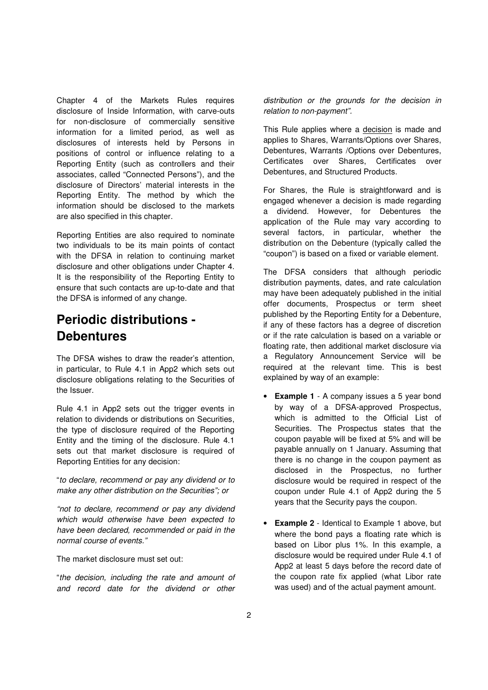Chapter 4 of the Markets Rules requires disclosure of Inside Information, with carve-outs for non-disclosure of commercially sensitive information for a limited period, as well as disclosures of interests held by Persons in positions of control or influence relating to a Reporting Entity (such as controllers and their associates, called "Connected Persons"), and the disclosure of Directors' material interests in the Reporting Entity. The method by which the information should be disclosed to the markets are also specified in this chapter.

Reporting Entities are also required to nominate two individuals to be its main points of contact with the DFSA in relation to continuing market disclosure and other obligations under Chapter 4. It is the responsibility of the Reporting Entity to ensure that such contacts are up-to-date and that the DFSA is informed of any change.

# **Periodic distributions - Debentures**

The DFSA wishes to draw the reader's attention, in particular, to Rule 4.1 in App2 which sets out disclosure obligations relating to the Securities of the Issuer.

Rule 4.1 in App2 sets out the trigger events in relation to dividends or distributions on Securities, the type of disclosure required of the Reporting Entity and the timing of the disclosure. Rule 4.1 sets out that market disclosure is required of Reporting Entities for any decision:

"to declare, recommend or pay any dividend or to make any other distribution on the Securities"; or

"not to declare, recommend or pay any dividend which would otherwise have been expected to have been declared, recommended or paid in the normal course of events."

The market disclosure must set out:

"the decision, including the rate and amount of and record date for the dividend or other

distribution or the grounds for the decision in relation to non-payment".

This Rule applies where a decision is made and applies to Shares, Warrants/Options over Shares, Debentures, Warrants /Options over Debentures, Certificates over Shares, Certificates over Debentures, and Structured Products.

For Shares, the Rule is straightforward and is engaged whenever a decision is made regarding a dividend. However, for Debentures the application of the Rule may vary according to several factors, in particular, whether the distribution on the Debenture (typically called the "coupon") is based on a fixed or variable element.

The DFSA considers that although periodic distribution payments, dates, and rate calculation may have been adequately published in the initial offer documents, Prospectus or term sheet published by the Reporting Entity for a Debenture, if any of these factors has a degree of discretion or if the rate calculation is based on a variable or floating rate, then additional market disclosure via a Regulatory Announcement Service will be required at the relevant time. This is best explained by way of an example:

- **Example 1** A company issues a 5 year bond by way of a DFSA-approved Prospectus, which is admitted to the Official List of Securities. The Prospectus states that the coupon payable will be fixed at 5% and will be payable annually on 1 January. Assuming that there is no change in the coupon payment as disclosed in the Prospectus, no further disclosure would be required in respect of the coupon under Rule 4.1 of App2 during the 5 years that the Security pays the coupon.
- **Example 2** Identical to Example 1 above, but where the bond pays a floating rate which is based on Libor plus 1%. In this example, a disclosure would be required under Rule 4.1 of App2 at least 5 days before the record date of the coupon rate fix applied (what Libor rate was used) and of the actual payment amount.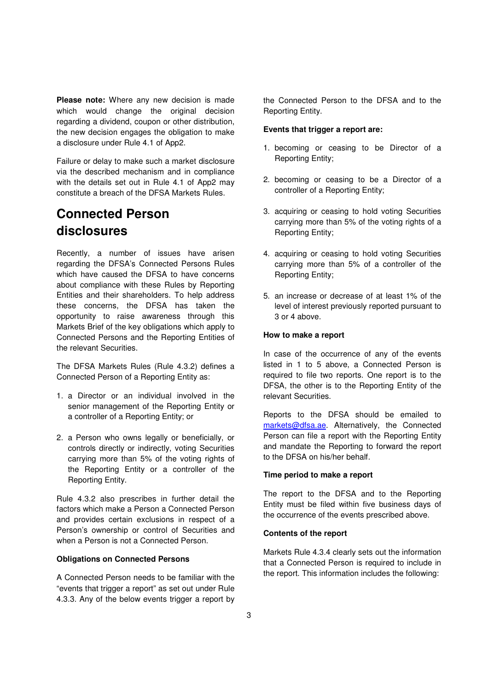**Please note:** Where any new decision is made which would change the original decision regarding a dividend, coupon or other distribution, the new decision engages the obligation to make a disclosure under Rule 4.1 of App2.

Failure or delay to make such a market disclosure via the described mechanism and in compliance with the details set out in Rule 4.1 of App2 may constitute a breach of the DFSA Markets Rules.

# **Connected Person disclosures**

Recently, a number of issues have arisen regarding the DFSA's Connected Persons Rules which have caused the DFSA to have concerns about compliance with these Rules by Reporting Entities and their shareholders. To help address these concerns, the DFSA has taken the opportunity to raise awareness through this Markets Brief of the key obligations which apply to Connected Persons and the Reporting Entities of the relevant Securities.

The DFSA Markets Rules (Rule 4.3.2) defines a Connected Person of a Reporting Entity as:

- 1. a Director or an individual involved in the senior management of the Reporting Entity or a controller of a Reporting Entity; or
- 2. a Person who owns legally or beneficially, or controls directly or indirectly, voting Securities carrying more than 5% of the voting rights of the Reporting Entity or a controller of the Reporting Entity.

Rule 4.3.2 also prescribes in further detail the factors which make a Person a Connected Person and provides certain exclusions in respect of a Person's ownership or control of Securities and when a Person is not a Connected Person.

#### **Obligations on Connected Persons**

A Connected Person needs to be familiar with the "events that trigger a report" as set out under Rule 4.3.3. Any of the below events trigger a report by

the Connected Person to the DFSA and to the Reporting Entity.

#### **Events that trigger a report are:**

- 1. becoming or ceasing to be Director of a Reporting Entity;
- 2. becoming or ceasing to be a Director of a controller of a Reporting Entity;
- 3. acquiring or ceasing to hold voting Securities carrying more than 5% of the voting rights of a Reporting Entity;
- 4. acquiring or ceasing to hold voting Securities carrying more than 5% of a controller of the Reporting Entity;
- 5. an increase or decrease of at least 1% of the level of interest previously reported pursuant to 3 or 4 above.

#### **How to make a report**

In case of the occurrence of any of the events listed in 1 to 5 above, a Connected Person is required to file two reports. One report is to the DFSA, the other is to the Reporting Entity of the relevant Securities.

Reports to the DFSA should be emailed to markets@dfsa.ae. Alternatively, the Connected Person can file a report with the Reporting Entity and mandate the Reporting to forward the report to the DFSA on his/her behalf.

#### **Time period to make a report**

The report to the DFSA and to the Reporting Entity must be filed within five business days of the occurrence of the events prescribed above.

#### **Contents of the report**

Markets Rule 4.3.4 clearly sets out the information that a Connected Person is required to include in the report. This information includes the following: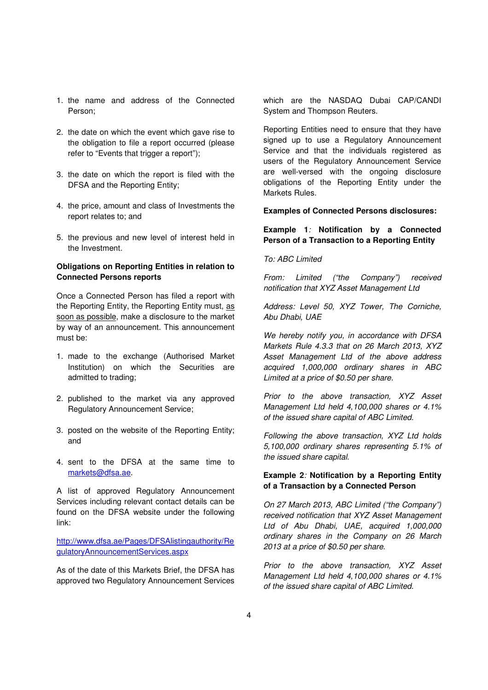- 1. the name and address of the Connected Person;
- 2. the date on which the event which gave rise to the obligation to file a report occurred (please refer to "Events that trigger a report");
- 3. the date on which the report is filed with the DFSA and the Reporting Entity;
- 4. the price, amount and class of Investments the report relates to; and
- 5. the previous and new level of interest held in the Investment.

#### **Obligations on Reporting Entities in relation to Connected Persons reports**

Once a Connected Person has filed a report with the Reporting Entity, the Reporting Entity must, as soon as possible, make a disclosure to the market by way of an announcement. This announcement must be:

- 1. made to the exchange (Authorised Market Institution) on which the Securities are admitted to trading;
- 2. published to the market via any approved Regulatory Announcement Service;
- 3. posted on the website of the Reporting Entity; and
- 4. sent to the DFSA at the same time to markets@dfsa.ae.

A list of approved Regulatory Announcement Services including relevant contact details can be found on the DFSA website under the following link:

http://www.dfsa.ae/Pages/DFSAlistingauthority/Re gulatoryAnnouncementServices.aspx

As of the date of this Markets Brief, the DFSA has approved two Regulatory Announcement Services which are the NASDAQ Dubai CAP/CANDI System and Thompson Reuters.

Reporting Entities need to ensure that they have signed up to use a Regulatory Announcement Service and that the individuals registered as users of the Regulatory Announcement Service are well-versed with the ongoing disclosure obligations of the Reporting Entity under the Markets Rules.

#### **Examples of Connected Persons disclosures:**

#### **Example 1**: **Notification by a Connected Person of a Transaction to a Reporting Entity**

#### To: ABC Limited

From: Limited ("the Company") received notification that XYZ Asset Management Ltd

Address: Level 50, XYZ Tower, The Corniche, Abu Dhabi, UAE

We hereby notify you, in accordance with DFSA Markets Rule 4.3.3 that on 26 March 2013, XYZ Asset Management Ltd of the above address acquired 1,000,000 ordinary shares in ABC Limited at a price of \$0.50 per share.

Prior to the above transaction, XYZ Asset Management Ltd held 4,100,000 shares or 4.1% of the issued share capital of ABC Limited.

Following the above transaction, XYZ Ltd holds 5,100,000 ordinary shares representing 5.1% of the issued share capital.

#### **Example 2**: **Notification by a Reporting Entity of a Transaction by a Connected Person**

On 27 March 2013, ABC Limited ("the Company") received notification that XYZ Asset Management Ltd of Abu Dhabi, UAE, acquired 1,000,000 ordinary shares in the Company on 26 March 2013 at a price of \$0.50 per share.

Prior to the above transaction, XYZ Asset Management Ltd held 4,100,000 shares or 4.1% of the issued share capital of ABC Limited.